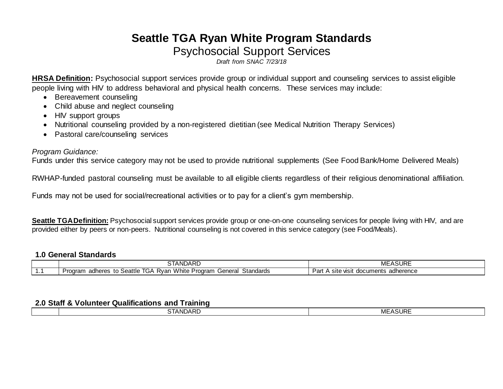# **Seattle TGA Ryan White Program Standards** Psychosocial Support Services

*Draft from SNAC 7/23/18*

**HRSA Definition:** Psychosocial support services provide group or individual support and counseling services to assist eligible people living with HIV to address behavioral and physical health concerns. These services may include:

- Bereavement counseling
- Child abuse and neglect counseling
- HIV support groups
- Nutritional counseling provided by a non-registered dietitian (see Medical Nutrition Therapy Services)
- Pastoral care/counseling services

## *Program Guidance:*

Funds under this service category may not be used to provide nutritional supplements (See Food Bank/Home Delivered Meals)

RWHAP-funded pastoral counseling must be available to all eligible clients regardless of their religious denominational affiliation.

Funds may not be used for social/recreational activities or to pay for a client's gym membership.

**Seattle TGA Definition:** Psychosocial support services provide group or one-on-one counseling services for people living with HIV, and are provided either by peers or non-peers. Nutritional counseling is not covered in this service category (see Food/Meals).

## **1.0 General Standards**

| $\sim$ $\sim$ $\sim$<br>$\overline{\phantom{a}}$<br>$\sim$ $\sim$ $\sim$<br>ANDARD                                          | $\cdots$<br>$\overline{a}$<br>ושטה,             |
|-----------------------------------------------------------------------------------------------------------------------------|-------------------------------------------------|
| White<br>Standards<br>$    -$<br>:anara<br>GP.<br>adheres<br>RVar I<br>⊻roɑram<br>.<br>ieia<br>ו טע.<br>∴∍calllu<br>แ<br>ັບ | adherence<br>visit<br>documents<br>'art<br>SITE |

#### **2.0 Staff & Volunteer Qualifications and Training**

| ____ | ______          |                               |
|------|-----------------|-------------------------------|
|      | <b>STANDARD</b> | <b>ACLIDE</b><br>MF<br>∵ฅงบห∟ |
|      |                 |                               |